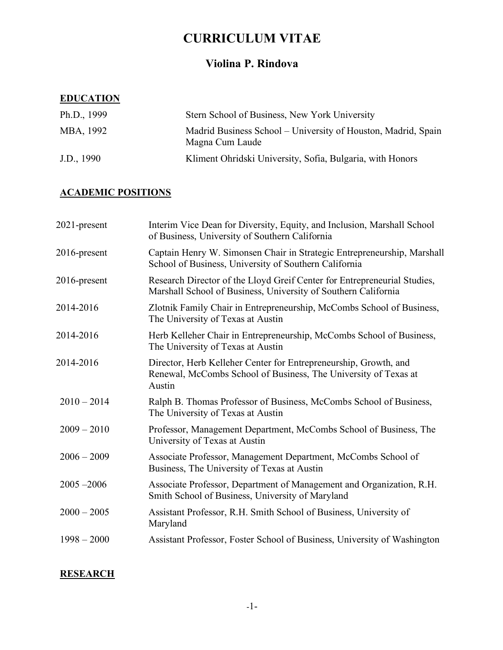# **CURRICULUM VITAE**

# **Violina P. Rindova**

### **EDUCATION**

| Ph.D., $1999$ | Stern School of Business, New York University                                    |
|---------------|----------------------------------------------------------------------------------|
| MBA, 1992     | Madrid Business School – University of Houston, Madrid, Spain<br>Magna Cum Laude |
| J.D., 1990    | Kliment Ohridski University, Sofia, Bulgaria, with Honors                        |

# **ACADEMIC POSITIONS**

| 2021-present  | Interim Vice Dean for Diversity, Equity, and Inclusion, Marshall School<br>of Business, University of Southern California                     |
|---------------|-----------------------------------------------------------------------------------------------------------------------------------------------|
| 2016-present  | Captain Henry W. Simonsen Chair in Strategic Entrepreneurship, Marshall<br>School of Business, University of Southern California              |
| 2016-present  | Research Director of the Lloyd Greif Center for Entrepreneurial Studies,<br>Marshall School of Business, University of Southern California    |
| 2014-2016     | Zlotnik Family Chair in Entrepreneurship, McCombs School of Business,<br>The University of Texas at Austin                                    |
| 2014-2016     | Herb Kelleher Chair in Entrepreneurship, McCombs School of Business,<br>The University of Texas at Austin                                     |
| 2014-2016     | Director, Herb Kelleher Center for Entrepreneurship, Growth, and<br>Renewal, McCombs School of Business, The University of Texas at<br>Austin |
| $2010 - 2014$ | Ralph B. Thomas Professor of Business, McCombs School of Business,<br>The University of Texas at Austin                                       |
| $2009 - 2010$ | Professor, Management Department, McCombs School of Business, The<br>University of Texas at Austin                                            |
| $2006 - 2009$ | Associate Professor, Management Department, McCombs School of<br>Business, The University of Texas at Austin                                  |
| $2005 - 2006$ | Associate Professor, Department of Management and Organization, R.H.<br>Smith School of Business, University of Maryland                      |
| $2000 - 2005$ | Assistant Professor, R.H. Smith School of Business, University of<br>Maryland                                                                 |
| $1998 - 2000$ | Assistant Professor, Foster School of Business, University of Washington                                                                      |
|               |                                                                                                                                               |

# **RESEARCH**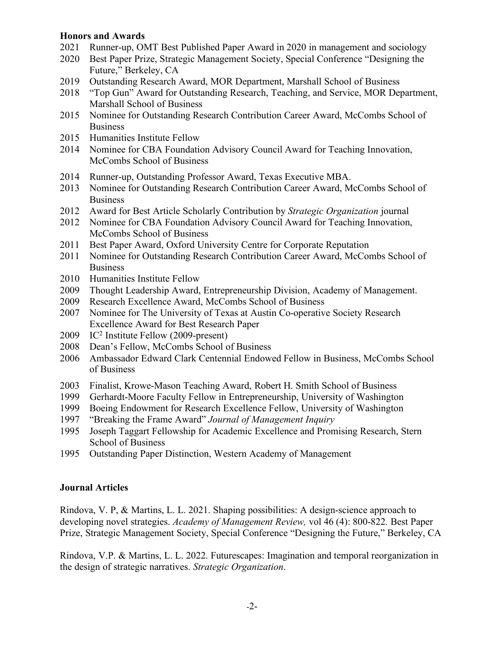#### **Honors and Awards**

- 2021 Runner-up, OMT Best Published Paper Award in 2020 in management and sociology
- 2020 Best Paper Prize, Strategic Management Society, Special Conference "Designing the Future," Berkeley, CA
- 2019 Outstanding Research Award, MOR Department, Marshall School of Business
- 2018 "Top Gun" Award for Outstanding Research, Teaching, and Service, MOR Department, Marshall School of Business
- 2015 Nominee for Outstanding Research Contribution Career Award, McCombs School of Business
- 2015 Humanities Institute Fellow
- 2014 Nominee for CBA Foundation Advisory Council Award for Teaching Innovation, McCombs School of Business
- 2014 Runner-up, Outstanding Professor Award, Texas Executive MBA.
- 2013 Nominee for Outstanding Research Contribution Career Award, McCombs School of Business
- 2012 Award for Best Article Scholarly Contribution by *Strategic Organization* journal
- 2012 Nominee for CBA Foundation Advisory Council Award for Teaching Innovation, McCombs School of Business
- 2011 Best Paper Award, Oxford University Centre for Corporate Reputation
- 2011 Nominee for Outstanding Research Contribution Career Award, McCombs School of Business
- 2010 Humanities Institute Fellow
- 2009 Thought Leadership Award, Entrepreneurship Division, Academy of Management.
- 2009 Research Excellence Award, McCombs School of Business
- 2007 Nominee for The University of Texas at Austin Co-operative Society Research Excellence Award for Best Research Paper
- 2009 IC2 Institute Fellow (2009-present)
- 2008 Dean's Fellow, McCombs School of Business
- 2006 Ambassador Edward Clark Centennial Endowed Fellow in Business, McCombs School of Business
- 2003 Finalist, Krowe-Mason Teaching Award, Robert H. Smith School of Business
- 1999 Gerhardt-Moore Faculty Fellow in Entrepreneurship, University of Washington
- 1999 Boeing Endowment for Research Excellence Fellow, University of Washington
- 1997 "Breaking the Frame Award" *Journal of Management Inquiry*
- 1995 Joseph Taggart Fellowship for Academic Excellence and Promising Research, Stern School of Business
- 1995 Outstanding Paper Distinction, Western Academy of Management

### **Journal Articles**

Rindova, V. P, & Martins, L. L. 2021. Shaping possibilities: A design-science approach to developing novel strategies. *Academy of Management Review,* vol 46 (4): 800-822*.* Best Paper Prize, Strategic Management Society, Special Conference "Designing the Future," Berkeley, CA

Rindova, V.P. & Martins, L. L. 2022. Futurescapes: Imagination and temporal reorganization in the design of strategic narratives. *Strategic Organization*.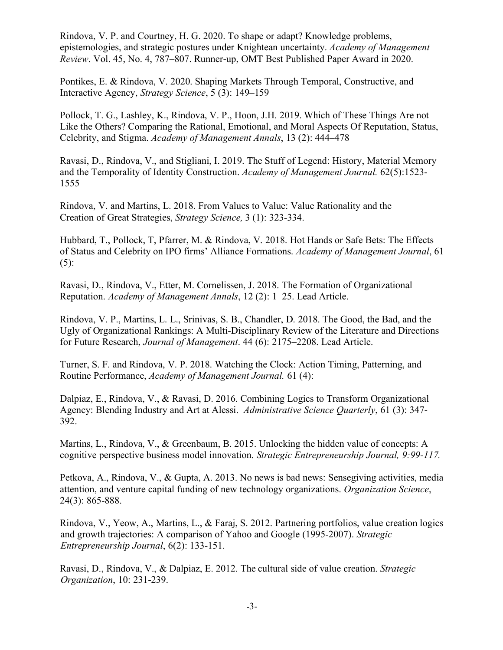Rindova, V. P. and Courtney, H. G. 2020. To shape or adapt? Knowledge problems, epistemologies, and strategic postures under Knightean uncertainty. *Academy of Management Review*. Vol. 45, No. 4, 787–807. Runner-up, OMT Best Published Paper Award in 2020.

Pontikes, E. & Rindova, V. 2020. Shaping Markets Through Temporal, Constructive, and Interactive Agency, *Strategy Science*, 5 (3): 149–159

Pollock, T. G., Lashley, K., Rindova, V. P., Hoon, J.H. 2019. Which of These Things Are not Like the Others? Comparing the Rational, Emotional, and Moral Aspects Of Reputation, Status, Celebrity, and Stigma. *Academy of Management Annals*, 13 (2): 444–478

Ravasi, D., Rindova, V., and Stigliani, I. 2019. The Stuff of Legend: History, Material Memory and the Temporality of Identity Construction. *Academy of Management Journal.* 62(5):1523- 1555

Rindova, V. and Martins, L. 2018. From Values to Value: Value Rationality and the Creation of Great Strategies, *Strategy Science,* 3 (1): 323-334.

Hubbard, T., Pollock, T, Pfarrer, M. & Rindova, V. 2018. Hot Hands or Safe Bets: The Effects of Status and Celebrity on IPO firms' Alliance Formations. *Academy of Management Journal*, 61  $(5)$ :

Ravasi, D., Rindova, V., Etter, M. Cornelissen, J. 2018. The Formation of Organizational Reputation. *Academy of Management Annals*, 12 (2): 1–25. Lead Article.

Rindova, V. P., Martins, L. L., Srinivas, S. B., Chandler, D. 2018. The Good, the Bad, and the Ugly of Organizational Rankings: A Multi-Disciplinary Review of the Literature and Directions for Future Research, *Journal of Management*. 44 (6): 2175–2208. Lead Article.

Turner, S. F. and Rindova, V. P. 2018. Watching the Clock: Action Timing, Patterning, and Routine Performance, *Academy of Management Journal.* 61 (4):

Dalpiaz, E., Rindova, V., & Ravasi, D. 2016. Combining Logics to Transform Organizational Agency: Blending Industry and Art at Alessi. *Administrative Science Quarterly*, 61 (3): 347- 392.

Martins, L., Rindova, V., & Greenbaum, B. 2015. Unlocking the hidden value of concepts: A cognitive perspective business model innovation. *Strategic Entrepreneurship Journal, 9:99-117.*

Petkova, A., Rindova, V., & Gupta, A. 2013. No news is bad news: Sensegiving activities, media attention, and venture capital funding of new technology organizations. *Organization Science*, 24(3): 865-888.

Rindova, V., Yeow, A., Martins, L., & Faraj, S. 2012. Partnering portfolios, value creation logics and growth trajectories: A comparison of Yahoo and Google (1995-2007). *Strategic Entrepreneurship Journal*, 6(2): 133-151.

Ravasi, D., Rindova, V., & Dalpiaz, E. 2012. The cultural side of value creation. *Strategic Organization*, 10: 231-239.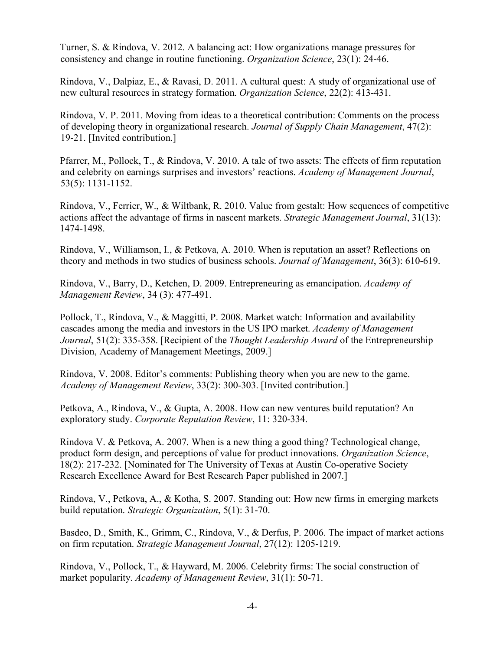Turner, S. & Rindova, V. 2012. A balancing act: How organizations manage pressures for consistency and change in routine functioning. *Organization Science*, 23(1): 24-46.

Rindova, V., Dalpiaz, E., & Ravasi, D. 2011. A cultural quest: A study of organizational use of new cultural resources in strategy formation. *Organization Science*, 22(2): 413-431.

Rindova, V. P. 2011. Moving from ideas to a theoretical contribution: Comments on the process of developing theory in organizational research. *Journal of Supply Chain Management*, 47(2): 19-21. [Invited contribution.]

Pfarrer, M., Pollock, T., & Rindova, V. 2010. A tale of two assets: The effects of firm reputation and celebrity on earnings surprises and investors' reactions. *Academy of Management Journal*, 53(5): 1131-1152.

Rindova, V., Ferrier, W., & Wiltbank, R. 2010. Value from gestalt: How sequences of competitive actions affect the advantage of firms in nascent markets. *Strategic Management Journal*, 31(13): 1474-1498.

Rindova, V., Williamson, I., & Petkova, A. 2010. When is reputation an asset? Reflections on theory and methods in two studies of business schools. *Journal of Management*, 36(3): 610-619.

Rindova, V., Barry, D., Ketchen, D. 2009. Entrepreneuring as emancipation. *Academy of Management Review*, 34 (3): 477-491.

Pollock, T., Rindova, V., & Maggitti, P. 2008. Market watch: Information and availability cascades among the media and investors in the US IPO market. *Academy of Management Journal*, 51(2): 335-358. [Recipient of the *Thought Leadership Award* of the Entrepreneurship Division, Academy of Management Meetings, 2009.]

Rindova, V. 2008. Editor's comments: Publishing theory when you are new to the game. *Academy of Management Review*, 33(2): 300-303. [Invited contribution.]

Petkova, A., Rindova, V., & Gupta, A. 2008. How can new ventures build reputation? An exploratory study. *Corporate Reputation Review*, 11: 320-334.

Rindova V. & Petkova, A. 2007. When is a new thing a good thing? Technological change, product form design, and perceptions of value for product innovations. *Organization Science*, 18(2): 217-232. [Nominated for The University of Texas at Austin Co-operative Society Research Excellence Award for Best Research Paper published in 2007.]

Rindova, V., Petkova, A., & Kotha, S. 2007. Standing out: How new firms in emerging markets build reputation. *Strategic Organization*, 5(1): 31-70.

Basdeo, D., Smith, K., Grimm, C., Rindova, V., & Derfus, P. 2006. The impact of market actions on firm reputation. *Strategic Management Journal*, 27(12): 1205-1219.

Rindova, V., Pollock, T., & Hayward, M. 2006. Celebrity firms: The social construction of market popularity. *Academy of Management Review*, 31(1): 50-71.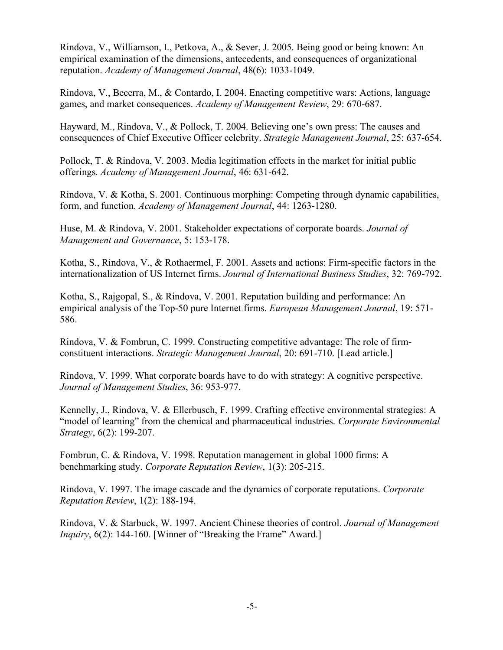Rindova, V., Williamson, I., Petkova, A., & Sever, J. 2005. Being good or being known: An empirical examination of the dimensions, antecedents, and consequences of organizational reputation. *Academy of Management Journal*, 48(6): 1033-1049.

Rindova, V., Becerra, M., & Contardo, I. 2004. Enacting competitive wars: Actions, language games, and market consequences. *Academy of Management Review*, 29: 670-687.

Hayward, M., Rindova, V., & Pollock, T. 2004. Believing one's own press: The causes and consequences of Chief Executive Officer celebrity. *Strategic Management Journal*, 25: 637-654.

Pollock, T. & Rindova, V. 2003. Media legitimation effects in the market for initial public offerings. *Academy of Management Journal*, 46: 631-642.

Rindova, V. & Kotha, S. 2001. Continuous morphing: Competing through dynamic capabilities, form, and function. *Academy of Management Journal*, 44: 1263-1280.

Huse, M. & Rindova, V. 2001. Stakeholder expectations of corporate boards. *Journal of Management and Governance*, 5: 153-178.

Kotha, S., Rindova, V., & Rothaermel, F. 2001. Assets and actions: Firm-specific factors in the internationalization of US Internet firms. *Journal of International Business Studies*, 32: 769-792.

Kotha, S., Rajgopal, S., & Rindova, V. 2001. Reputation building and performance: An empirical analysis of the Top-50 pure Internet firms. *European Management Journal*, 19: 571- 586.

Rindova, V. & Fombrun, C. 1999. Constructing competitive advantage: The role of firmconstituent interactions. *Strategic Management Journal*, 20: 691-710. [Lead article.]

Rindova, V. 1999. What corporate boards have to do with strategy: A cognitive perspective. *Journal of Management Studies*, 36: 953-977.

Kennelly, J., Rindova, V. & Ellerbusch, F. 1999. Crafting effective environmental strategies: A "model of learning" from the chemical and pharmaceutical industries. *Corporate Environmental Strategy*, 6(2): 199-207.

Fombrun, C. & Rindova, V. 1998. Reputation management in global 1000 firms: A benchmarking study. *Corporate Reputation Review*, 1(3): 205-215.

Rindova, V. 1997. The image cascade and the dynamics of corporate reputations. *Corporate Reputation Review*, 1(2): 188-194.

Rindova, V. & Starbuck, W. 1997. Ancient Chinese theories of control. *Journal of Management Inquiry*, 6(2): 144-160. [Winner of "Breaking the Frame" Award.]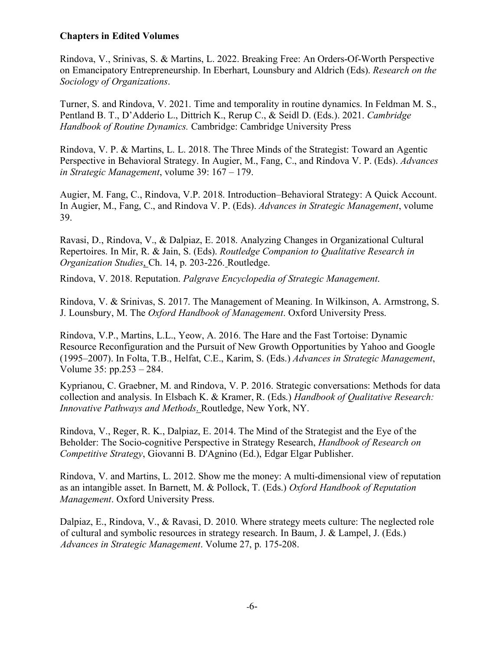### **Chapters in Edited Volumes**

Rindova, V., Srinivas, S. & Martins, L. 2022. Breaking Free: An Orders-Of-Worth Perspective on Emancipatory Entrepreneurship. In Eberhart, Lounsbury and Aldrich (Eds). *Research on the Sociology of Organizations*.

Turner, S. and Rindova, V. 2021. Time and temporality in routine dynamics. In Feldman M. S., Pentland B. T., D'Adderio L., Dittrich K., Rerup C., & Seidl D. (Eds.). 2021. *Cambridge Handbook of Routine Dynamics.* Cambridge: Cambridge University Press

Rindova, V. P. & Martins, L. L. 2018. The Three Minds of the Strategist: Toward an Agentic Perspective in Behavioral Strategy. In Augier, M., Fang, C., and Rindova V. P. (Eds). *Advances in Strategic Management*, volume 39: 167 – 179.

Augier, M. Fang, C., Rindova, V.P. 2018. Introduction–Behavioral Strategy: A Quick Account. In Augier, M., Fang, C., and Rindova V. P. (Eds). *Advances in Strategic Management*, volume 39.

Ravasi, D., Rindova, V., & Dalpiaz, E. 2018. Analyzing Changes in Organizational Cultural Repertoires. In Mir, R. & Jain, S. (Eds). *Routledge Companion to Qualitative Research in Organization Studies*, Ch. 14, p. 203-226. Routledge.

Rindova, V. 2018. Reputation. *Palgrave Encyclopedia of Strategic Management*.

Rindova, V. & Srinivas, S. 2017. The Management of Meaning. In Wilkinson, A. Armstrong, S. J. Lounsbury, M. The *Oxford Handbook of Management*. Oxford University Press.

Rindova, V.P., Martins, L.L., Yeow, A. 2016. The Hare and the Fast Tortoise: Dynamic Resource Reconfiguration and the Pursuit of New Growth Opportunities by Yahoo and Google (1995–2007). In Folta, T.B., Helfat, C.E., Karim, S. (Eds.) *Advances in Strategic Management*, Volume 35: pp.253 – 284.

Kyprianou, C. Graebner, M. and Rindova, V. P. 2016. Strategic conversations: Methods for data collection and analysis. In Elsbach K. & Kramer, R. (Eds.) *Handbook of Qualitative Research: Innovative Pathways and Methods*. Routledge, New York, NY.

Rindova, V., Reger, R. K., Dalpiaz, E. 2014. The Mind of the Strategist and the Eye of the Beholder: The Socio-cognitive Perspective in Strategy Research, *Handbook of Research on Competitive Strategy*, Giovanni B. D'Agnino (Ed.), Edgar Elgar Publisher.

Rindova, V. and Martins, L. 2012. Show me the money: A multi-dimensional view of reputation as an intangible asset. In Barnett, M. & Pollock, T. (Eds.) *Oxford Handbook of Reputation Management*. Oxford University Press.

Dalpiaz, E., Rindova, V., & Ravasi, D. 2010. Where strategy meets culture: The neglected role of cultural and symbolic resources in strategy research. In Baum, J. & Lampel, J. (Eds.) *Advances in Strategic Management*. Volume 27, p. 175-208.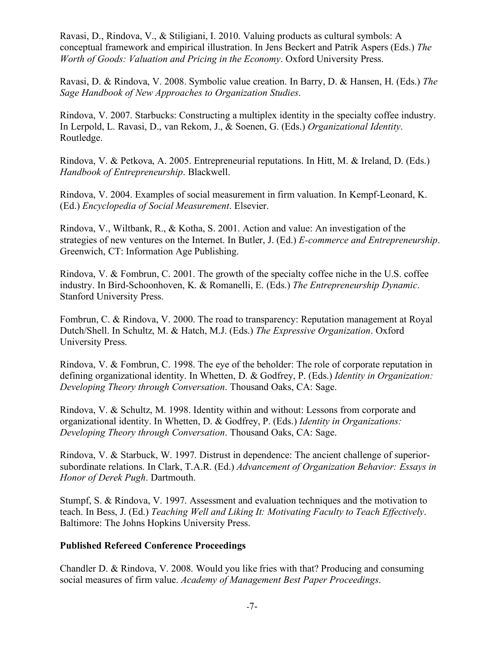Ravasi, D., Rindova, V., & Stiligiani, I. 2010. Valuing products as cultural symbols: A conceptual framework and empirical illustration. In Jens Beckert and Patrik Aspers (Eds.) *The Worth of Goods: Valuation and Pricing in the Economy*. Oxford University Press.

Ravasi, D. & Rindova, V. 2008. Symbolic value creation. In Barry, D. & Hansen, H. (Eds.) *The Sage Handbook of New Approaches to Organization Studies*.

Rindova, V. 2007. Starbucks: Constructing a multiplex identity in the specialty coffee industry. In Lerpold, L. Ravasi, D., van Rekom, J., & Soenen, G. (Eds.) *Organizational Identity*. Routledge.

Rindova, V. & Petkova, A. 2005. Entrepreneurial reputations. In Hitt, M. & Ireland, D. (Eds.) *Handbook of Entrepreneurship*. Blackwell.

Rindova, V. 2004. Examples of social measurement in firm valuation. In Kempf-Leonard, K. (Ed.) *Encyclopedia of Social Measurement*. Elsevier.

Rindova, V., Wiltbank, R., & Kotha, S. 2001. Action and value: An investigation of the strategies of new ventures on the Internet. In Butler, J. (Ed.) *E-commerce and Entrepreneurship*. Greenwich, CT: Information Age Publishing.

Rindova, V. & Fombrun, C. 2001. The growth of the specialty coffee niche in the U.S. coffee industry. In Bird-Schoonhoven, K. & Romanelli, E. (Eds.) *The Entrepreneurship Dynamic*. Stanford University Press.

Fombrun, C. & Rindova, V. 2000. The road to transparency: Reputation management at Royal Dutch/Shell. In Schultz, M. & Hatch, M.J. (Eds.) *The Expressive Organization*. Oxford University Press.

Rindova, V. & Fombrun, C. 1998. The eye of the beholder: The role of corporate reputation in defining organizational identity. In Whetten, D. & Godfrey, P. (Eds.) *Identity in Organization: Developing Theory through Conversation*. Thousand Oaks, CA: Sage.

Rindova, V. & Schultz, M. 1998. Identity within and without: Lessons from corporate and organizational identity. In Whetten, D. & Godfrey, P. (Eds.) *Identity in Organizations: Developing Theory through Conversation*. Thousand Oaks, CA: Sage.

Rindova, V. & Starbuck, W. 1997. Distrust in dependence: The ancient challenge of superiorsubordinate relations. In Clark, T.A.R. (Ed.) *Advancement of Organization Behavior: Essays in Honor of Derek Pugh*. Dartmouth.

Stumpf, S. & Rindova, V. 1997. Assessment and evaluation techniques and the motivation to teach. In Bess, J. (Ed.) *Teaching Well and Liking It: Motivating Faculty to Teach Effectively*. Baltimore: The Johns Hopkins University Press.

### **Published Refereed Conference Proceedings**

Chandler D. & Rindova, V. 2008. Would you like fries with that? Producing and consuming social measures of firm value. *Academy of Management Best Paper Proceedings*.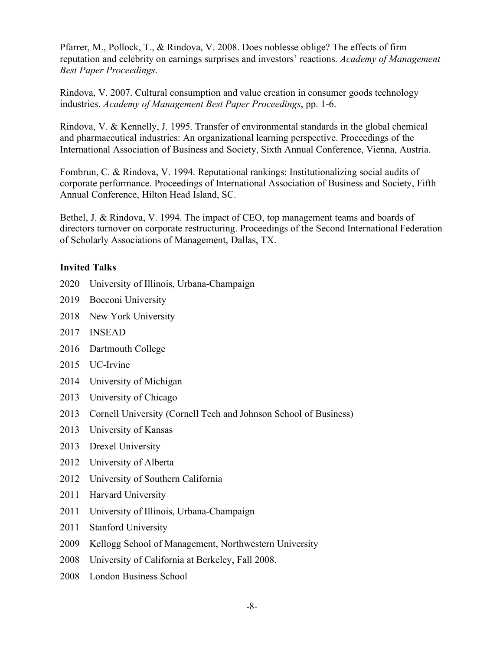Pfarrer, M., Pollock, T., & Rindova, V. 2008. Does noblesse oblige? The effects of firm reputation and celebrity on earnings surprises and investors' reactions. *Academy of Management Best Paper Proceedings*.

Rindova, V. 2007. Cultural consumption and value creation in consumer goods technology industries. *Academy of Management Best Paper Proceedings*, pp. 1-6.

Rindova, V. & Kennelly, J. 1995. Transfer of environmental standards in the global chemical and pharmaceutical industries: An organizational learning perspective. Proceedings of the International Association of Business and Society, Sixth Annual Conference, Vienna, Austria.

Fombrun, C. & Rindova, V. 1994. Reputational rankings: Institutionalizing social audits of corporate performance. Proceedings of International Association of Business and Society, Fifth Annual Conference, Hilton Head Island, SC.

Bethel, J. & Rindova, V. 1994. The impact of CEO, top management teams and boards of directors turnover on corporate restructuring. Proceedings of the Second International Federation of Scholarly Associations of Management, Dallas, TX.

### **Invited Talks**

- 2020 University of Illinois, Urbana-Champaign
- 2019 Bocconi University
- 2018 New York University
- 2017 INSEAD
- 2016 Dartmouth College
- 2015 UC-Irvine
- 2014 University of Michigan
- 2013 University of Chicago
- 2013 Cornell University (Cornell Tech and Johnson School of Business)
- 2013 University of Kansas
- 2013 Drexel University
- 2012 University of Alberta
- 2012 University of Southern California
- 2011 Harvard University
- 2011 University of Illinois, Urbana-Champaign
- 2011 Stanford University
- 2009 Kellogg School of Management, Northwestern University
- 2008 University of California at Berkeley, Fall 2008.
- 2008 London Business School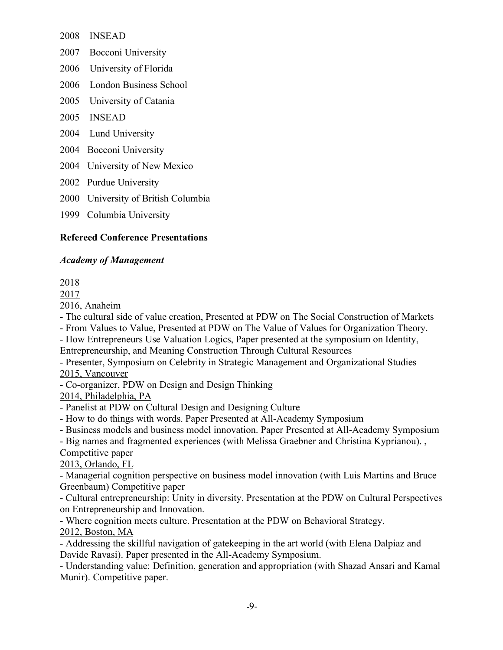2008 INSEAD

2007 Bocconi University

- 2006 University of Florida
- 2006 London Business School
- 2005 University of Catania
- 2005 INSEAD
- 2004 Lund University
- 2004 Bocconi University
- 2004 University of New Mexico
- 2002 Purdue University
- 2000 University of British Columbia
- 1999 Columbia University

# **Refereed Conference Presentations**

### *Academy of Management*

# 2018

2017

2016, Anaheim

- The cultural side of value creation, Presented at PDW on The Social Construction of Markets

- From Values to Value, Presented at PDW on The Value of Values for Organization Theory.

- How Entrepreneurs Use Valuation Logics, Paper presented at the symposium on Identity, Entrepreneurship, and Meaning Construction Through Cultural Resources

- Presenter, Symposium on Celebrity in Strategic Management and Organizational Studies 2015, Vancouver

- Co-organizer, PDW on Design and Design Thinking

2014, Philadelphia, PA

- Panelist at PDW on Cultural Design and Designing Culture

- How to do things with words. Paper Presented at All-Academy Symposium

- Business models and business model innovation. Paper Presented at All-Academy Symposium

- Big names and fragmented experiences (with Melissa Graebner and Christina Kyprianou). ,

Competitive paper

2013, Orlando, FL

- Managerial cognition perspective on business model innovation (with Luis Martins and Bruce Greenbaum) Competitive paper

- Cultural entrepreneurship: Unity in diversity. Presentation at the PDW on Cultural Perspectives on Entrepreneurship and Innovation.

- Where cognition meets culture. Presentation at the PDW on Behavioral Strategy.

### 2012, Boston, MA

- Addressing the skillful navigation of gatekeeping in the art world (with Elena Dalpiaz and Davide Ravasi). Paper presented in the All-Academy Symposium.

- Understanding value: Definition, generation and appropriation (with Shazad Ansari and Kamal Munir). Competitive paper.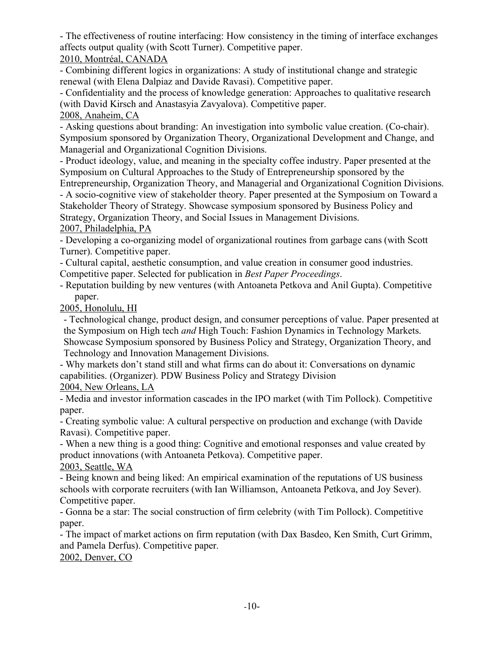- The effectiveness of routine interfacing: How consistency in the timing of interface exchanges affects output quality (with Scott Turner). Competitive paper.

# 2010, Montréal, CANADA

- Combining different logics in organizations: A study of institutional change and strategic renewal (with Elena Dalpiaz and Davide Ravasi). Competitive paper.

- Confidentiality and the process of knowledge generation: Approaches to qualitative research (with David Kirsch and Anastasyia Zavyalova). Competitive paper.

### 2008, Anaheim, CA

- Asking questions about branding: An investigation into symbolic value creation. (Co-chair). Symposium sponsored by Organization Theory, Organizational Development and Change, and Managerial and Organizational Cognition Divisions.

- Product ideology, value, and meaning in the specialty coffee industry. Paper presented at the Symposium on Cultural Approaches to the Study of Entrepreneurship sponsored by the Entrepreneurship, Organization Theory, and Managerial and Organizational Cognition Divisions.

- A socio-cognitive view of stakeholder theory. Paper presented at the Symposium on Toward a Stakeholder Theory of Strategy. Showcase symposium sponsored by Business Policy and Strategy, Organization Theory, and Social Issues in Management Divisions. 2007, Philadelphia, PA

- Developing a co-organizing model of organizational routines from garbage cans (with Scott Turner). Competitive paper.

- Cultural capital, aesthetic consumption, and value creation in consumer good industries. Competitive paper. Selected for publication in *Best Paper Proceedings*.

- Reputation building by new ventures (with Antoaneta Petkova and Anil Gupta). Competitive paper.

2005, Honolulu, HI

- Technological change, product design, and consumer perceptions of value. Paper presented at the Symposium on High tech *and* High Touch: Fashion Dynamics in Technology Markets. Showcase Symposium sponsored by Business Policy and Strategy, Organization Theory, and Technology and Innovation Management Divisions.

- Why markets don't stand still and what firms can do about it: Conversations on dynamic capabilities. (Organizer). PDW Business Policy and Strategy Division

2004, New Orleans, LA

- Media and investor information cascades in the IPO market (with Tim Pollock). Competitive paper.

- Creating symbolic value: A cultural perspective on production and exchange (with Davide Ravasi). Competitive paper.

- When a new thing is a good thing: Cognitive and emotional responses and value created by product innovations (with Antoaneta Petkova). Competitive paper.

2003, Seattle, WA

- Being known and being liked: An empirical examination of the reputations of US business schools with corporate recruiters (with Ian Williamson, Antoaneta Petkova, and Joy Sever). Competitive paper.

- Gonna be a star: The social construction of firm celebrity (with Tim Pollock). Competitive paper.

- The impact of market actions on firm reputation (with Dax Basdeo, Ken Smith, Curt Grimm, and Pamela Derfus). Competitive paper.

2002, Denver, CO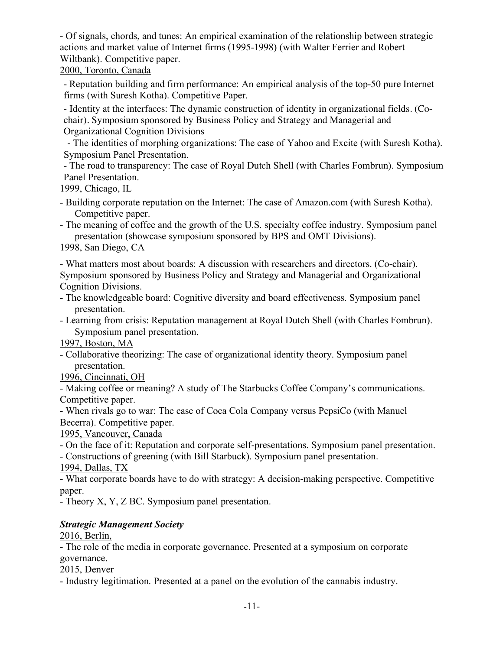- Of signals, chords, and tunes: An empirical examination of the relationship between strategic actions and market value of Internet firms (1995-1998) (with Walter Ferrier and Robert Wiltbank). Competitive paper.

### 2000, Toronto, Canada

- Reputation building and firm performance: An empirical analysis of the top-50 pure Internet firms (with Suresh Kotha). Competitive Paper.

- Identity at the interfaces: The dynamic construction of identity in organizational fields. (Cochair). Symposium sponsored by Business Policy and Strategy and Managerial and Organizational Cognition Divisions

- The identities of morphing organizations: The case of Yahoo and Excite (with Suresh Kotha). Symposium Panel Presentation.

- The road to transparency: The case of Royal Dutch Shell (with Charles Fombrun). Symposium Panel Presentation.

1999, Chicago, IL

- Building corporate reputation on the Internet: The case of Amazon.com (with Suresh Kotha). Competitive paper.
- The meaning of coffee and the growth of the U.S. specialty coffee industry. Symposium panel presentation (showcase symposium sponsored by BPS and OMT Divisions).

#### 1998, San Diego, CA

- What matters most about boards: A discussion with researchers and directors. (Co-chair). Symposium sponsored by Business Policy and Strategy and Managerial and Organizational Cognition Divisions.

- The knowledgeable board: Cognitive diversity and board effectiveness. Symposium panel presentation.
- Learning from crisis: Reputation management at Royal Dutch Shell (with Charles Fombrun). Symposium panel presentation.

### 1997, Boston, MA

- Collaborative theorizing: The case of organizational identity theory. Symposium panel presentation.

### 1996, Cincinnati, OH

- Making coffee or meaning? A study of The Starbucks Coffee Company's communications. Competitive paper.

- When rivals go to war: The case of Coca Cola Company versus PepsiCo (with Manuel Becerra). Competitive paper.

1995, Vancouver, Canada

- On the face of it: Reputation and corporate self-presentations. Symposium panel presentation.

- Constructions of greening (with Bill Starbuck). Symposium panel presentation.

1994, Dallas, TX

- What corporate boards have to do with strategy: A decision-making perspective. Competitive paper.

- Theory X, Y, Z BC. Symposium panel presentation.

# *Strategic Management Society*

### 2016, Berlin,

- The role of the media in corporate governance. Presented at a symposium on corporate governance.

### 2015, Denver

- Industry legitimation. Presented at a panel on the evolution of the cannabis industry.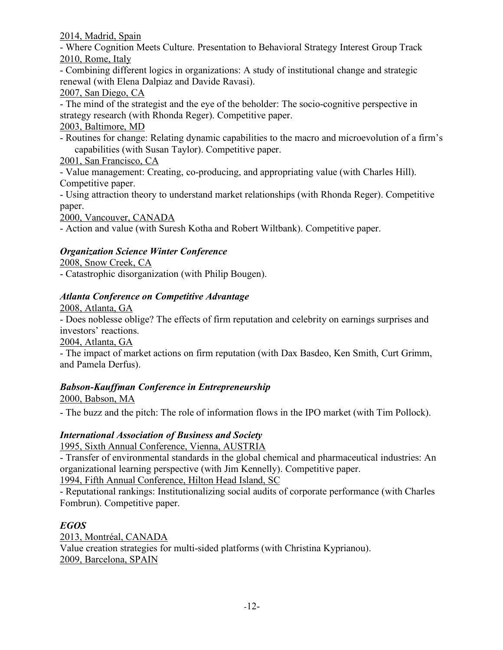2014, Madrid, Spain

- Where Cognition Meets Culture. Presentation to Behavioral Strategy Interest Group Track 2010, Rome, Italy

- Combining different logics in organizations: A study of institutional change and strategic renewal (with Elena Dalpiaz and Davide Ravasi).

2007, San Diego, CA

- The mind of the strategist and the eye of the beholder: The socio-cognitive perspective in strategy research (with Rhonda Reger). Competitive paper.

## 2003, Baltimore, MD

- Routines for change: Relating dynamic capabilities to the macro and microevolution of a firm's capabilities (with Susan Taylor). Competitive paper.

# 2001, San Francisco, CA

- Value management: Creating, co-producing, and appropriating value (with Charles Hill). Competitive paper.

- Using attraction theory to understand market relationships (with Rhonda Reger). Competitive paper.

2000, Vancouver, CANADA

- Action and value (with Suresh Kotha and Robert Wiltbank). Competitive paper.

# *Organization Science Winter Conference*

### 2008, Snow Creek, CA

- Catastrophic disorganization (with Philip Bougen).

# *Atlanta Conference on Competitive Advantage*

2008, Atlanta, GA

- Does noblesse oblige? The effects of firm reputation and celebrity on earnings surprises and investors' reactions.

2004, Atlanta, GA

- The impact of market actions on firm reputation (with Dax Basdeo, Ken Smith, Curt Grimm, and Pamela Derfus).

# *Babson-Kauffman Conference in Entrepreneurship*

2000, Babson, MA

- The buzz and the pitch: The role of information flows in the IPO market (with Tim Pollock).

# *International Association of Business and Society*

1995, Sixth Annual Conference, Vienna, AUSTRIA

- Transfer of environmental standards in the global chemical and pharmaceutical industries: An organizational learning perspective (with Jim Kennelly). Competitive paper.

1994, Fifth Annual Conference, Hilton Head Island, SC

- Reputational rankings: Institutionalizing social audits of corporate performance (with Charles Fombrun). Competitive paper.

# *EGOS*

2013, Montréal, CANADA Value creation strategies for multi-sided platforms (with Christina Kyprianou). 2009, Barcelona, SPAIN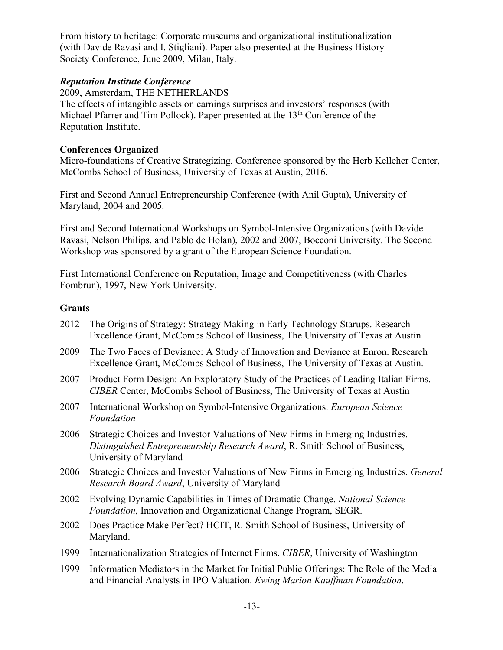From history to heritage: Corporate museums and organizational institutionalization (with Davide Ravasi and I. Stigliani). Paper also presented at the Business History Society Conference, June 2009, Milan, Italy.

#### *Reputation Institute Conference*

2009, Amsterdam, THE NETHERLANDS

The effects of intangible assets on earnings surprises and investors' responses (with Michael Pfarrer and Tim Pollock). Paper presented at the 13<sup>th</sup> Conference of the Reputation Institute.

### **Conferences Organized**

Micro-foundations of Creative Strategizing. Conference sponsored by the Herb Kelleher Center, McCombs School of Business, University of Texas at Austin, 2016.

First and Second Annual Entrepreneurship Conference (with Anil Gupta), University of Maryland, 2004 and 2005.

First and Second International Workshops on Symbol-Intensive Organizations (with Davide Ravasi, Nelson Philips, and Pablo de Holan), 2002 and 2007, Bocconi University. The Second Workshop was sponsored by a grant of the European Science Foundation.

First International Conference on Reputation, Image and Competitiveness (with Charles Fombrun), 1997, New York University.

### **Grants**

- 2012 The Origins of Strategy: Strategy Making in Early Technology Starups. Research Excellence Grant, McCombs School of Business, The University of Texas at Austin
- 2009 The Two Faces of Deviance: A Study of Innovation and Deviance at Enron. Research Excellence Grant, McCombs School of Business, The University of Texas at Austin.
- 2007 Product Form Design: An Exploratory Study of the Practices of Leading Italian Firms. *CIBER* Center, McCombs School of Business, The University of Texas at Austin
- 2007 International Workshop on Symbol-Intensive Organizations. *European Science Foundation*
- 2006 Strategic Choices and Investor Valuations of New Firms in Emerging Industries. *Distinguished Entrepreneurship Research Award*, R. Smith School of Business, University of Maryland
- 2006 Strategic Choices and Investor Valuations of New Firms in Emerging Industries. *General Research Board Award*, University of Maryland
- 2002 Evolving Dynamic Capabilities in Times of Dramatic Change. *National Science Foundation*, Innovation and Organizational Change Program, SEGR.
- 2002 Does Practice Make Perfect? HCIT, R. Smith School of Business, University of Maryland.
- 1999 Internationalization Strategies of Internet Firms. *CIBER*, University of Washington
- 1999 Information Mediators in the Market for Initial Public Offerings: The Role of the Media and Financial Analysts in IPO Valuation. *Ewing Marion Kauffman Foundation*.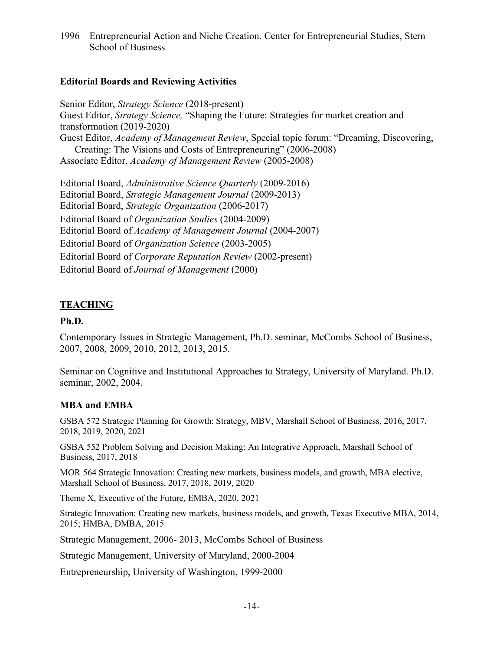1996 Entrepreneurial Action and Niche Creation. Center for Entrepreneurial Studies, Stern School of Business

#### **Editorial Boards and Reviewing Activities**

Senior Editor, *Strategy Science* (2018-present) Guest Editor, *Strategy Science,* "Shaping the Future: Strategies for market creation and transformation (2019-2020) Guest Editor, *Academy of Management Review*, Special topic forum: "Dreaming, Discovering, Creating: The Visions and Costs of Entrepreneuring" (2006-2008) Associate Editor, *Academy of Management Review* (2005-2008)

Editorial Board, *Administrative Science Quarterly* (2009-2016) Editorial Board, *Strategic Management Journal* (2009-2013) Editorial Board, *Strategic Organization* (2006-2017) Editorial Board of *Organization Studies* (2004-2009) Editorial Board of *Academy of Management Journal* (2004-2007) Editorial Board of *Organization Science* (2003-2005) Editorial Board of *Corporate Reputation Review* (2002-present) Editorial Board of *Journal of Management* (2000)

### **TEACHING**

#### **Ph.D.**

Contemporary Issues in Strategic Management, Ph.D. seminar, McCombs School of Business, 2007, 2008, 2009, 2010, 2012, 2013, 2015.

Seminar on Cognitive and Institutional Approaches to Strategy, University of Maryland. Ph.D. seminar, 2002, 2004.

#### **MBA and EMBA**

GSBA 572 Strategic Planning for Growth: Strategy, MBV, Marshall School of Business, 2016, 2017, 2018, 2019, 2020, 2021

GSBA 552 Problem Solving and Decision Making: An Integrative Approach, Marshall School of Business, 2017, 2018

MOR 564 Strategic Innovation: Creating new markets, business models, and growth, MBA elective, Marshall School of Business, 2017, 2018, 2019, 2020

Theme X, Executive of the Future, EMBA, 2020, 2021

Strategic Innovation: Creating new markets, business models, and growth, Texas Executive MBA, 2014, 2015; HMBA, DMBA, 2015

Strategic Management, 2006- 2013, McCombs School of Business

Strategic Management, University of Maryland, 2000-2004

Entrepreneurship, University of Washington, 1999-2000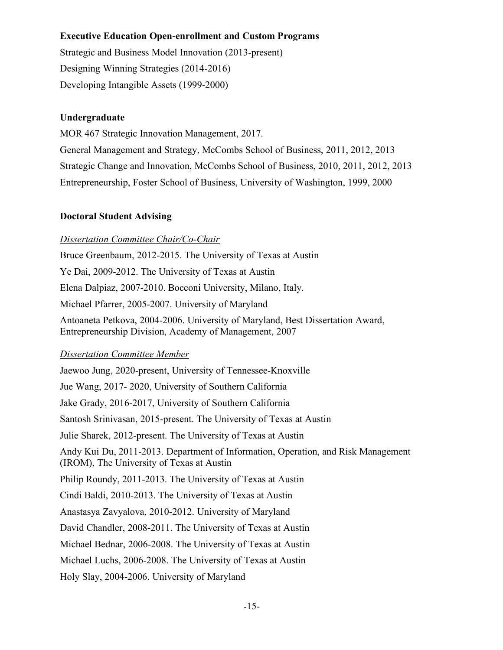# **Executive Education Open-enrollment and Custom Programs**

Strategic and Business Model Innovation (2013-present) Designing Winning Strategies (2014-2016) Developing Intangible Assets (1999-2000)

### **Undergraduate**

MOR 467 Strategic Innovation Management, 2017. General Management and Strategy, McCombs School of Business, 2011, 2012, 2013 Strategic Change and Innovation, McCombs School of Business, 2010, 2011, 2012, 2013 Entrepreneurship, Foster School of Business, University of Washington, 1999, 2000

### **Doctoral Student Advising**

### *Dissertation Committee Chair/Co-Chair*

Bruce Greenbaum, 2012-2015. The University of Texas at Austin Ye Dai, 2009-2012. The University of Texas at Austin Elena Dalpiaz, 2007-2010. Bocconi University, Milano, Italy. Michael Pfarrer, 2005-2007. University of Maryland Antoaneta Petkova, 2004-2006. University of Maryland, Best Dissertation Award, Entrepreneurship Division, Academy of Management, 2007

### *Dissertation Committee Member*

Jaewoo Jung, 2020-present, University of Tennessee-Knoxville Jue Wang, 2017- 2020, University of Southern California Jake Grady, 2016-2017, University of Southern California Santosh Srinivasan, 2015-present. The University of Texas at Austin Julie Sharek, 2012-present. The University of Texas at Austin Andy Kui Du, 2011-2013. Department of Information, Operation, and Risk Management (IROM), The University of Texas at Austin Philip Roundy, 2011-2013. The University of Texas at Austin Cindi Baldi, 2010-2013. The University of Texas at Austin Anastasya Zavyalova, 2010-2012. University of Maryland David Chandler, 2008-2011. The University of Texas at Austin Michael Bednar, 2006-2008. The University of Texas at Austin Michael Luchs, 2006-2008. The University of Texas at Austin Holy Slay, 2004-2006. University of Maryland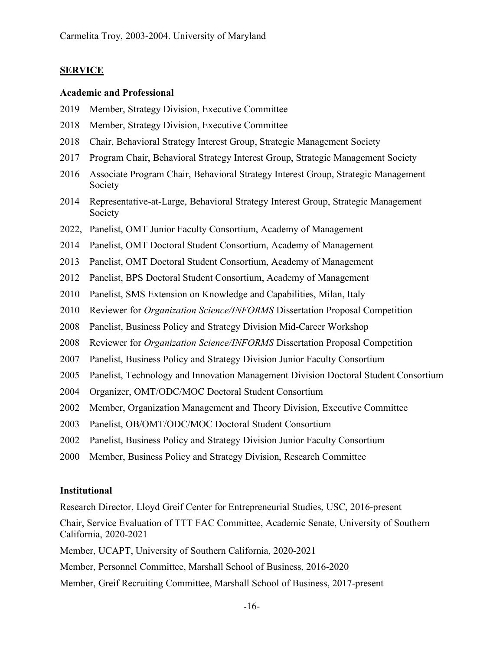### **SERVICE**

#### **Academic and Professional**

- 2019 Member, Strategy Division, Executive Committee
- 2018 Member, Strategy Division, Executive Committee
- 2018 Chair, Behavioral Strategy Interest Group, Strategic Management Society
- 2017 Program Chair, Behavioral Strategy Interest Group, Strategic Management Society
- 2016 Associate Program Chair, Behavioral Strategy Interest Group, Strategic Management Society
- 2014 Representative-at-Large, Behavioral Strategy Interest Group, Strategic Management Society
- 2022, Panelist, OMT Junior Faculty Consortium, Academy of Management
- 2014 Panelist, OMT Doctoral Student Consortium, Academy of Management
- 2013 Panelist, OMT Doctoral Student Consortium, Academy of Management
- 2012 Panelist, BPS Doctoral Student Consortium, Academy of Management
- 2010 Panelist, SMS Extension on Knowledge and Capabilities, Milan, Italy
- 2010 Reviewer for *Organization Science/INFORMS* Dissertation Proposal Competition
- 2008 Panelist, Business Policy and Strategy Division Mid-Career Workshop
- 2008 Reviewer for *Organization Science/INFORMS* Dissertation Proposal Competition
- 2007 Panelist, Business Policy and Strategy Division Junior Faculty Consortium
- 2005 Panelist, Technology and Innovation Management Division Doctoral Student Consortium
- 2004 Organizer, OMT/ODC/MOC Doctoral Student Consortium
- 2002 Member, Organization Management and Theory Division, Executive Committee
- 2003 Panelist, OB/OMT/ODC/MOC Doctoral Student Consortium
- 2002 Panelist, Business Policy and Strategy Division Junior Faculty Consortium
- 2000 Member, Business Policy and Strategy Division, Research Committee

#### **Institutional**

Research Director, Lloyd Greif Center for Entrepreneurial Studies, USC, 2016-present

Chair, Service Evaluation of TTT FAC Committee, Academic Senate, University of Southern California, 2020-2021

Member, UCAPT, University of Southern California, 2020-2021

Member, Personnel Committee, Marshall School of Business, 2016-2020

Member, Greif Recruiting Committee, Marshall School of Business, 2017-present